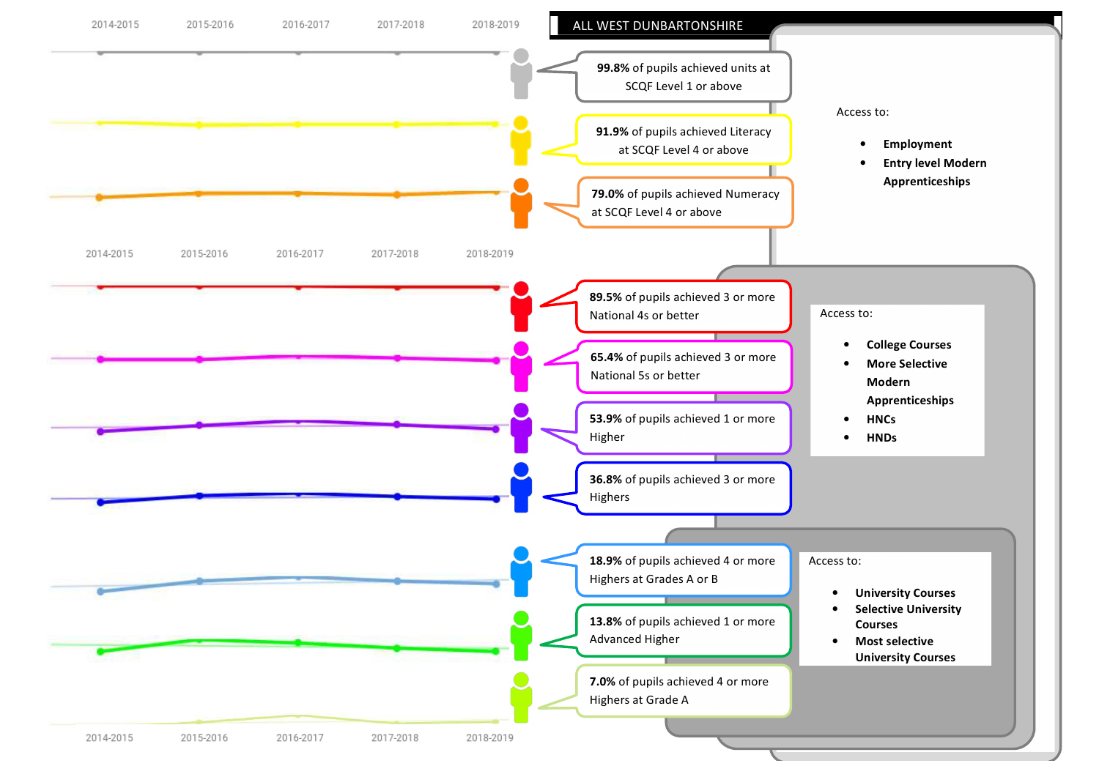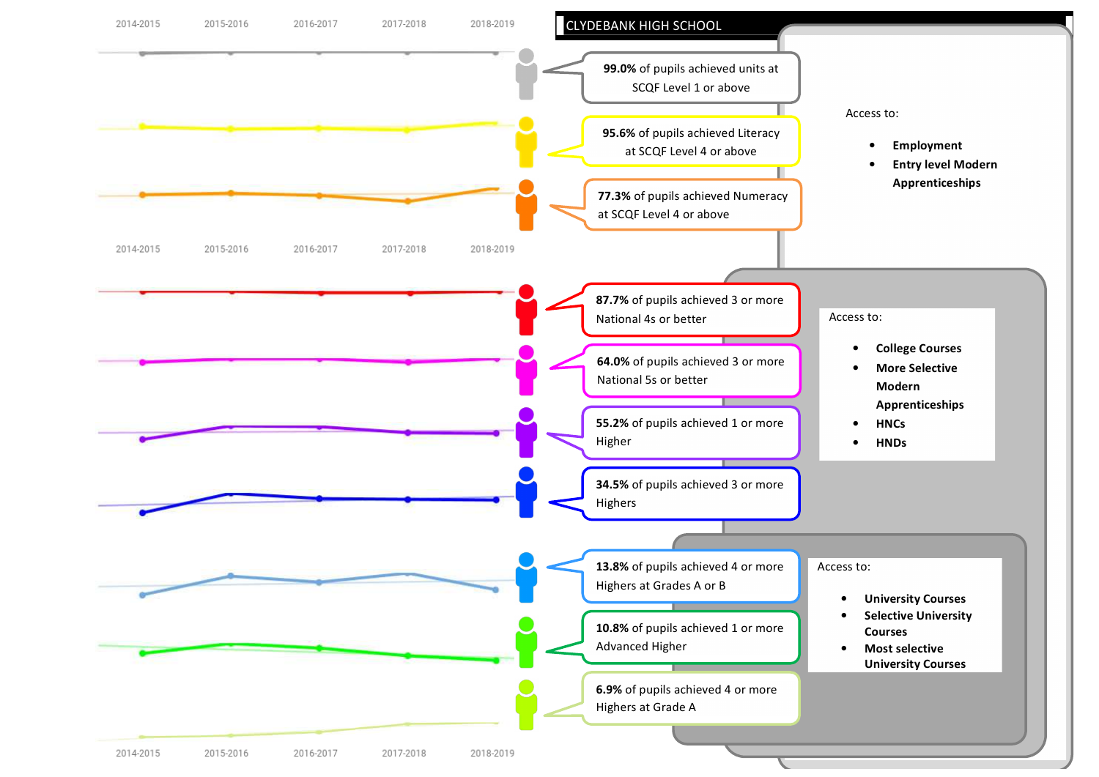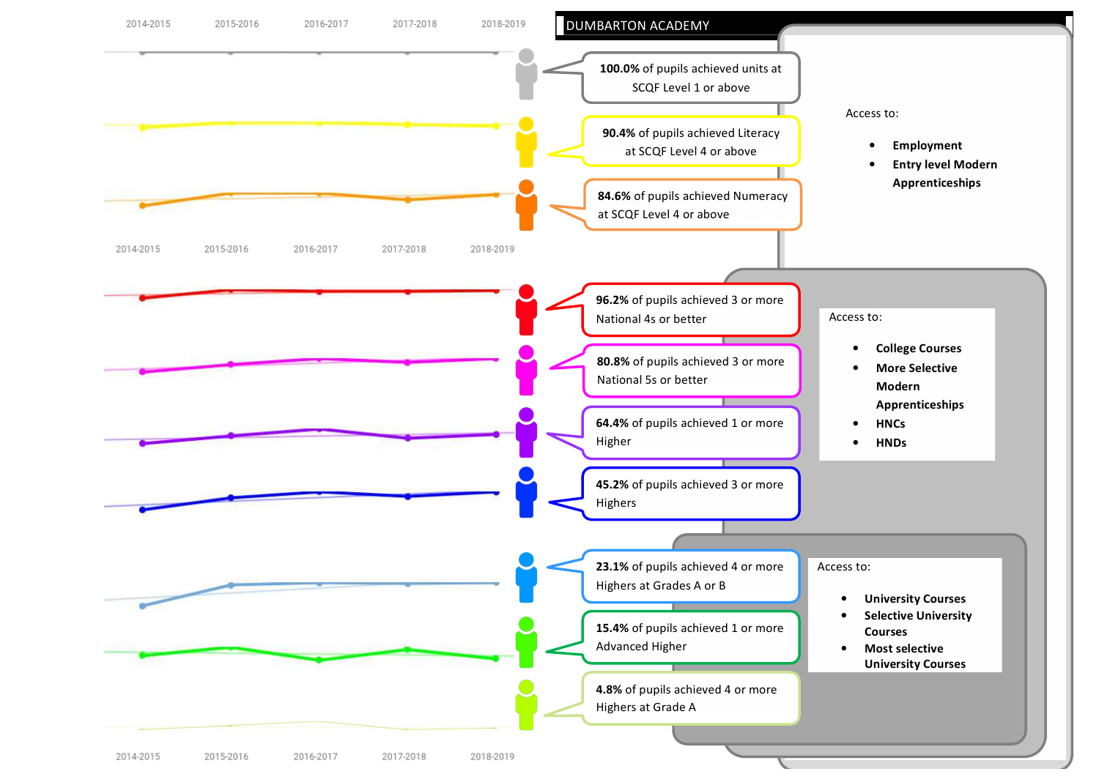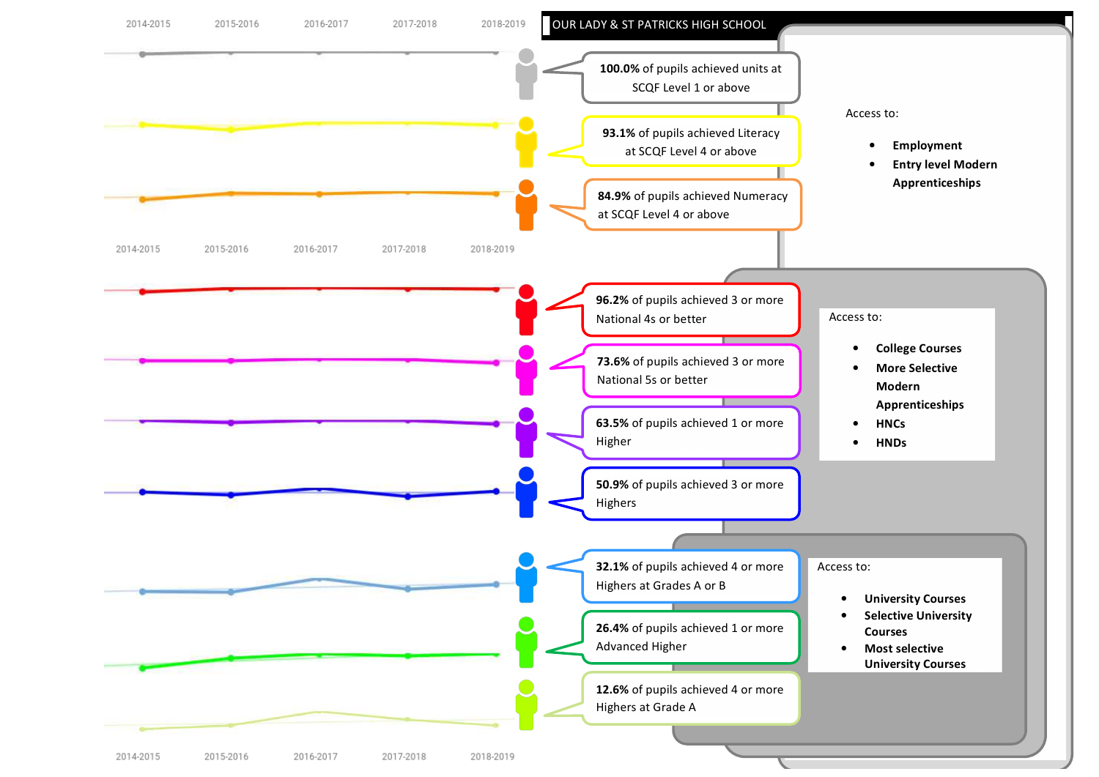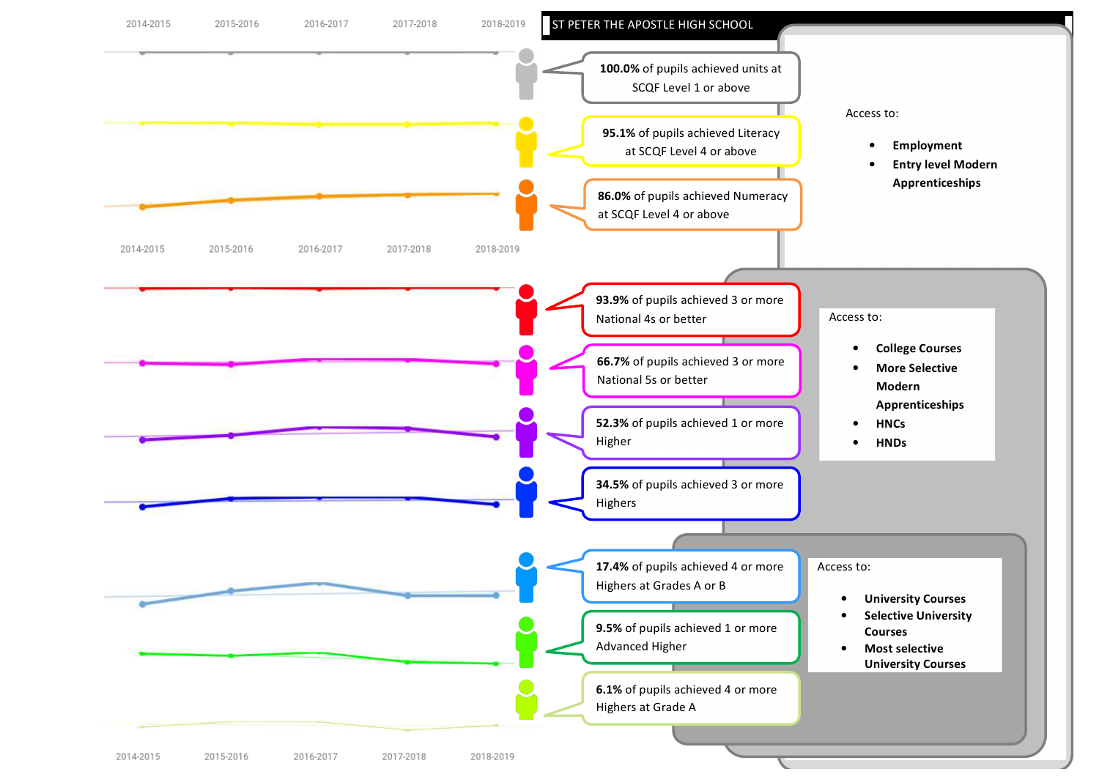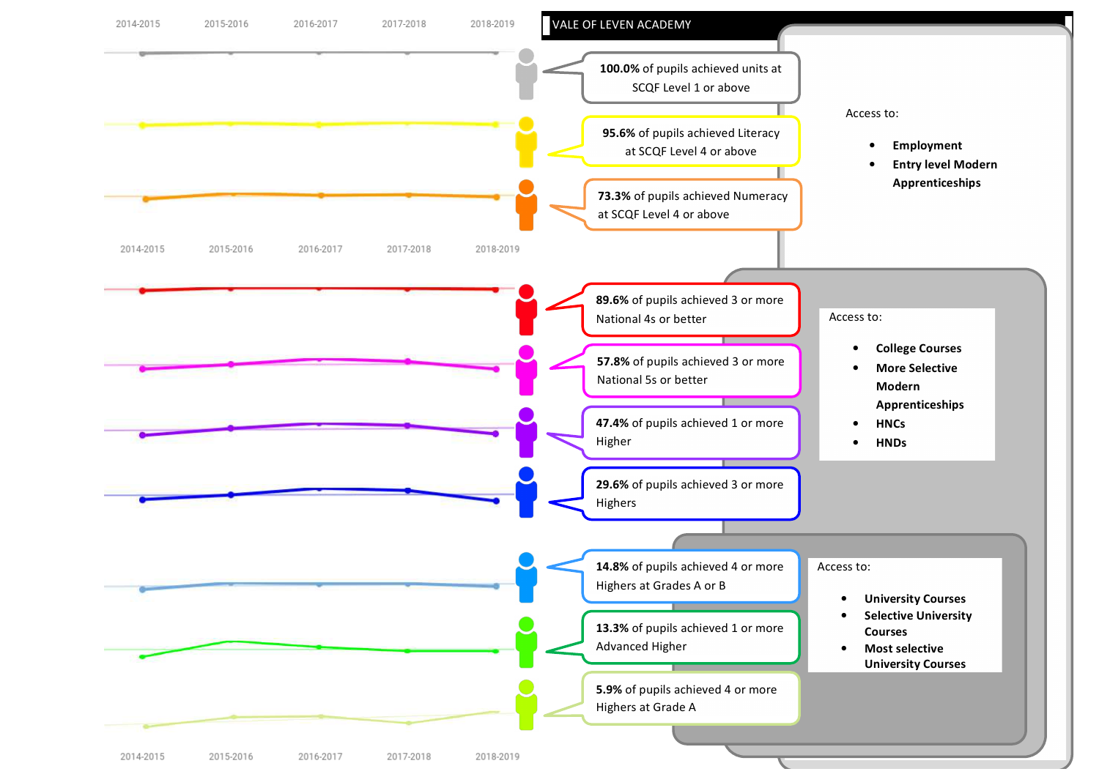